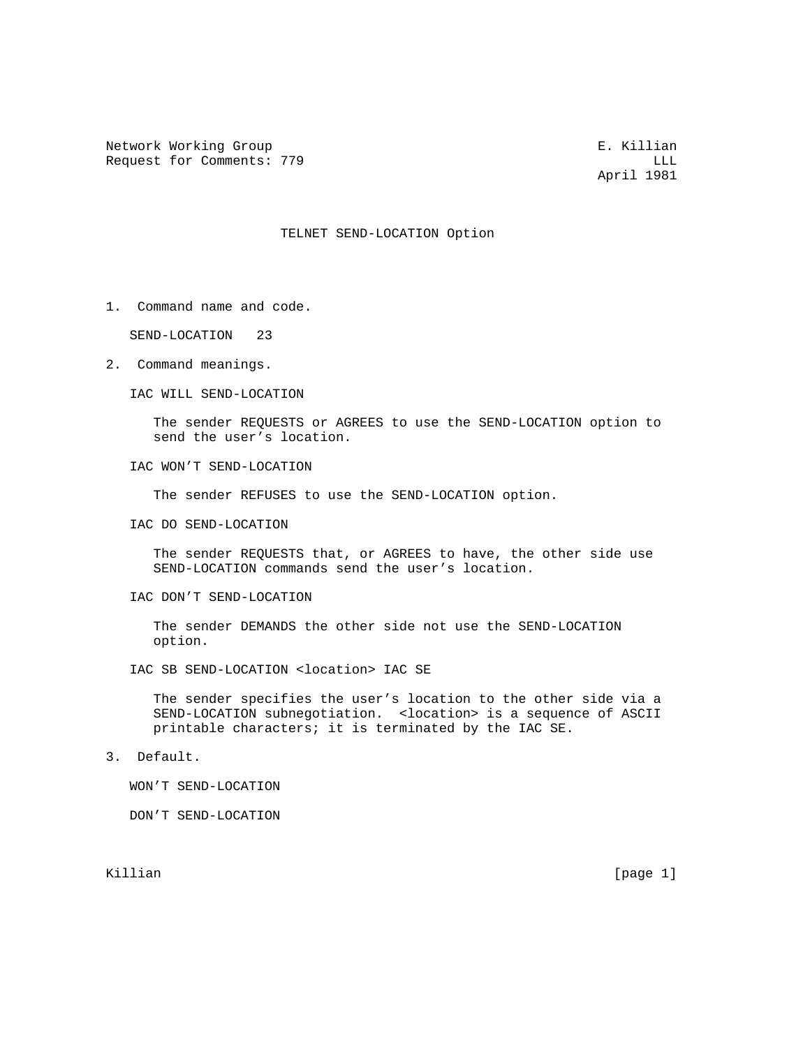Network Working Group and the set of the set of the set of the set of the set of the set of the set of the set of the set of the set of the set of the set of the set of the set of the set of the set of the set of the set o Request for Comments: 779 LLL

April 1981

## TELNET SEND-LOCATION Option

1. Command name and code.

SEND-LOCATION 23

2. Command meanings.

IAC WILL SEND-LOCATION

 The sender REQUESTS or AGREES to use the SEND-LOCATION option to send the user's location.

IAC WON'T SEND-LOCATION

The sender REFUSES to use the SEND-LOCATION option.

IAC DO SEND-LOCATION

 The sender REQUESTS that, or AGREES to have, the other side use SEND-LOCATION commands send the user's location.

IAC DON'T SEND-LOCATION

 The sender DEMANDS the other side not use the SEND-LOCATION option.

IAC SB SEND-LOCATION <location> IAC SE

 The sender specifies the user's location to the other side via a SEND-LOCATION subnegotiation. <location> is a sequence of ASCII printable characters; it is terminated by the IAC SE.

3. Default.

WON'T SEND-LOCATION

DON'T SEND-LOCATION

Killian [page 1]